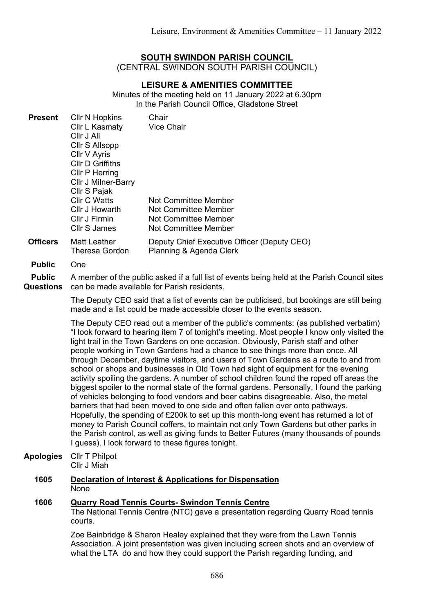## **SOUTH SWINDON PARISH COUNCIL**

(CENTRAL SWINDON SOUTH PARISH COUNCIL)

# **LEISURE & AMENITIES COMMITTEE**

Minutes of the meeting held on 11 January 2022 at 6.30pm In the Parish Council Office, Gladstone Street

| <b>Present</b>                    | Cllr N Hopkins<br>Cllr L Kasmaty<br>Cllr J Ali<br><b>CIIr S Allsopp</b><br>Cllr V Ayris<br><b>CIIr D Griffiths</b><br><b>CIIr P Herring</b><br>Cllr J Milner-Barry<br>Cllr S Pajak<br><b>Cllr C Watts</b><br>Cllr J Howarth<br>Cllr J Firmin<br>Cllr S James                                                                                                                                                                                                                                                                                                                                                                                                                                                                                                                                                                                                                                                                                                                                                                                                                                                                                                                                                                                | Chair<br><b>Vice Chair</b><br>Not Committee Member<br><b>Not Committee Member</b><br>Not Committee Member<br><b>Not Committee Member</b>                                                                                                              |
|-----------------------------------|---------------------------------------------------------------------------------------------------------------------------------------------------------------------------------------------------------------------------------------------------------------------------------------------------------------------------------------------------------------------------------------------------------------------------------------------------------------------------------------------------------------------------------------------------------------------------------------------------------------------------------------------------------------------------------------------------------------------------------------------------------------------------------------------------------------------------------------------------------------------------------------------------------------------------------------------------------------------------------------------------------------------------------------------------------------------------------------------------------------------------------------------------------------------------------------------------------------------------------------------|-------------------------------------------------------------------------------------------------------------------------------------------------------------------------------------------------------------------------------------------------------|
| <b>Officers</b>                   | <b>Matt Leather</b><br><b>Theresa Gordon</b>                                                                                                                                                                                                                                                                                                                                                                                                                                                                                                                                                                                                                                                                                                                                                                                                                                                                                                                                                                                                                                                                                                                                                                                                | Deputy Chief Executive Officer (Deputy CEO)<br>Planning & Agenda Clerk                                                                                                                                                                                |
| <b>Public</b>                     | One                                                                                                                                                                                                                                                                                                                                                                                                                                                                                                                                                                                                                                                                                                                                                                                                                                                                                                                                                                                                                                                                                                                                                                                                                                         |                                                                                                                                                                                                                                                       |
| <b>Public</b><br><b>Questions</b> | A member of the public asked if a full list of events being held at the Parish Council sites<br>can be made available for Parish residents.                                                                                                                                                                                                                                                                                                                                                                                                                                                                                                                                                                                                                                                                                                                                                                                                                                                                                                                                                                                                                                                                                                 |                                                                                                                                                                                                                                                       |
|                                   | The Deputy CEO said that a list of events can be publicised, but bookings are still being<br>made and a list could be made accessible closer to the events season.                                                                                                                                                                                                                                                                                                                                                                                                                                                                                                                                                                                                                                                                                                                                                                                                                                                                                                                                                                                                                                                                          |                                                                                                                                                                                                                                                       |
|                                   | The Deputy CEO read out a member of the public's comments: (as published verbatim)<br>"I look forward to hearing item 7 of tonight's meeting. Most people I know only visited the<br>light trail in the Town Gardens on one occasion. Obviously, Parish staff and other<br>people working in Town Gardens had a chance to see things more than once. All<br>through December, daytime visitors, and users of Town Gardens as a route to and from<br>school or shops and businesses in Old Town had sight of equipment for the evening<br>activity spoiling the gardens. A number of school children found the roped off areas the<br>biggest spoiler to the normal state of the formal gardens. Personally, I found the parking<br>of vehicles belonging to food vendors and beer cabins disagreeable. Also, the metal<br>barriers that had been moved to one side and often fallen over onto pathways.<br>Hopefully, the spending of £200k to set up this month-long event has returned a lot of<br>money to Parish Council coffers, to maintain not only Town Gardens but other parks in<br>the Parish control, as well as giving funds to Better Futures (many thousands of pounds<br>I guess). I look forward to these figures tonight. |                                                                                                                                                                                                                                                       |
| <b>Apologies</b>                  | Cllr T Philpot<br>Cllr J Miah                                                                                                                                                                                                                                                                                                                                                                                                                                                                                                                                                                                                                                                                                                                                                                                                                                                                                                                                                                                                                                                                                                                                                                                                               |                                                                                                                                                                                                                                                       |
| 1605                              | Declaration of Interest & Applications for Dispensation<br>None                                                                                                                                                                                                                                                                                                                                                                                                                                                                                                                                                                                                                                                                                                                                                                                                                                                                                                                                                                                                                                                                                                                                                                             |                                                                                                                                                                                                                                                       |
| 1606                              | <b>Quarry Road Tennis Courts- Swindon Tennis Centre</b><br>The National Tennis Centre (NTC) gave a presentation regarding Quarry Road tennis<br>courts.                                                                                                                                                                                                                                                                                                                                                                                                                                                                                                                                                                                                                                                                                                                                                                                                                                                                                                                                                                                                                                                                                     |                                                                                                                                                                                                                                                       |
|                                   |                                                                                                                                                                                                                                                                                                                                                                                                                                                                                                                                                                                                                                                                                                                                                                                                                                                                                                                                                                                                                                                                                                                                                                                                                                             | Zoe Bainbridge & Sharon Healey explained that they were from the Lawn Tennis<br>Association. A joint presentation was given including screen shots and an overview of<br>what the LTA do and how they could support the Parish regarding funding, and |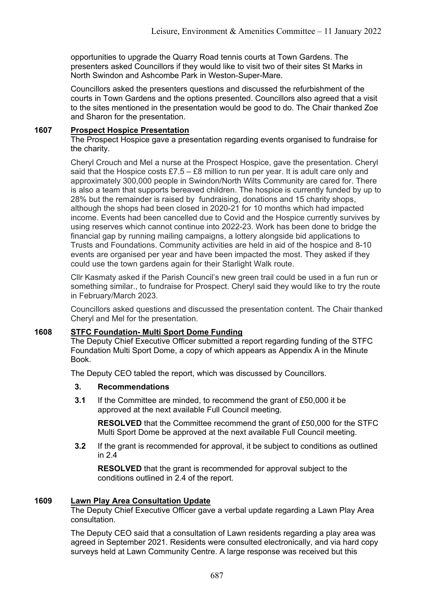opportunities to upgrade the Quarry Road tennis courts at Town Gardens. The presenters asked Councillors if they would like to visit two of their sites St Marks in North Swindon and Ashcombe Park in Weston-Super-Mare.

Councillors asked the presenters questions and discussed the refurbishment of the courts in Town Gardens and the options presented. Councillors also agreed that a visit to the sites mentioned in the presentation would be good to do. The Chair thanked Zoe and Sharon for the presentation.

### **1607 Prospect Hospice Presentation**

The Prospect Hospice gave a presentation regarding events organised to fundraise for the charity.

Cheryl Crouch and Mel a nurse at the Prospect Hospice, gave the presentation. Cheryl said that the Hospice costs  $£7.5 - £8$  million to run per year. It is adult care only and approximately 300,000 people in Swindon/North Wilts Community are cared for. There is also a team that supports bereaved children. The hospice is currently funded by up to 28% but the remainder is raised by fundraising, donations and 15 charity shops, although the shops had been closed in 2020-21 for 10 months which had impacted income. Events had been cancelled due to Covid and the Hospice currently survives by using reserves which cannot continue into 2022-23. Work has been done to bridge the financial gap by running mailing campaigns, a lottery alongside bid applications to Trusts and Foundations. Community activities are held in aid of the hospice and 8-10 events are organised per year and have been impacted the most. They asked if they could use the town gardens again for their Starlight Walk route.

Cllr Kasmaty asked if the Parish Council's new green trail could be used in a fun run or something similar., to fundraise for Prospect. Cheryl said they would like to try the route in February/March 2023.

Councillors asked questions and discussed the presentation content. The Chair thanked Cheryl and Mel for the presentation.

#### **1608 STFC Foundation- Multi Sport Dome Funding**

The Deputy Chief Executive Officer submitted a report regarding funding of the STFC Foundation Multi Sport Dome, a copy of which appears as Appendix A in the Minute Book.

The Deputy CEO tabled the report, which was discussed by Councillors.

#### **3. Recommendations**

**3.1** If the Committee are minded, to recommend the grant of £50,000 it be approved at the next available Full Council meeting.

**RESOLVED** that the Committee recommend the grant of £50,000 for the STFC Multi Sport Dome be approved at the next available Full Council meeting.

**3.2** If the grant is recommended for approval, it be subject to conditions as outlined in 2.4

**RESOLVED** that the grant is recommended for approval subject to the conditions outlined in 2.4 of the report.

#### **1609 Lawn Play Area Consultation Update**

The Deputy Chief Executive Officer gave a verbal update regarding a Lawn Play Area consultation.

The Deputy CEO said that a consultation of Lawn residents regarding a play area was agreed in September 2021. Residents were consulted electronically, and via hard copy surveys held at Lawn Community Centre. A large response was received but this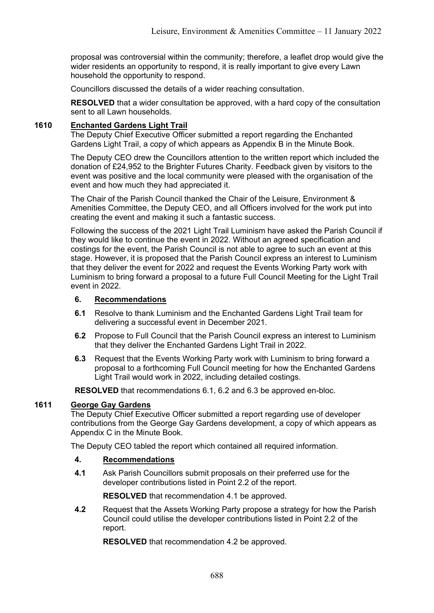proposal was controversial within the community; therefore, a leaflet drop would give the wider residents an opportunity to respond, it is really important to give every Lawn household the opportunity to respond.

Councillors discussed the details of a wider reaching consultation.

**RESOLVED** that a wider consultation be approved, with a hard copy of the consultation sent to all Lawn households.

### **1610 Enchanted Gardens Light Trail**

The Deputy Chief Executive Officer submitted a report regarding the Enchanted Gardens Light Trail, a copy of which appears as Appendix B in the Minute Book.

The Deputy CEO drew the Councillors attention to the written report which included the donation of £24,952 to the Brighter Futures Charity. Feedback given by visitors to the event was positive and the local community were pleased with the organisation of the event and how much they had appreciated it.

The Chair of the Parish Council thanked the Chair of the Leisure, Environment & Amenities Committee, the Deputy CEO, and all Officers involved for the work put into creating the event and making it such a fantastic success.

Following the success of the 2021 Light Trail Luminism have asked the Parish Council if they would like to continue the event in 2022. Without an agreed specification and costings for the event, the Parish Council is not able to agree to such an event at this stage. However, it is proposed that the Parish Council express an interest to Luminism that they deliver the event for 2022 and request the Events Working Party work with Luminism to bring forward a proposal to a future Full Council Meeting for the Light Trail event in 2022.

#### **6. Recommendations**

- **6.1** Resolve to thank Luminism and the Enchanted Gardens Light Trail team for delivering a successful event in December 2021.
- **6.2** Propose to Full Council that the Parish Council express an interest to Luminism that they deliver the Enchanted Gardens Light Trail in 2022.
- **6.3** Request that the Events Working Party work with Luminism to bring forward a proposal to a forthcoming Full Council meeting for how the Enchanted Gardens Light Trail would work in 2022, including detailed costings.

**RESOLVED** that recommendations 6.1, 6.2 and 6.3 be approved en-bloc.

## **1611 George Gay Gardens**

The Deputy Chief Executive Officer submitted a report regarding use of developer contributions from the George Gay Gardens development, a copy of which appears as Appendix C in the Minute Book.

The Deputy CEO tabled the report which contained all required information.

#### **4. Recommendations**

**4.1** Ask Parish Councillors submit proposals on their preferred use for the developer contributions listed in Point 2.2 of the report.

**RESOLVED** that recommendation 4.1 be approved.

**4.2** Request that the Assets Working Party propose a strategy for how the Parish Council could utilise the developer contributions listed in Point 2.2 of the report.

**RESOLVED** that recommendation 4.2 be approved.